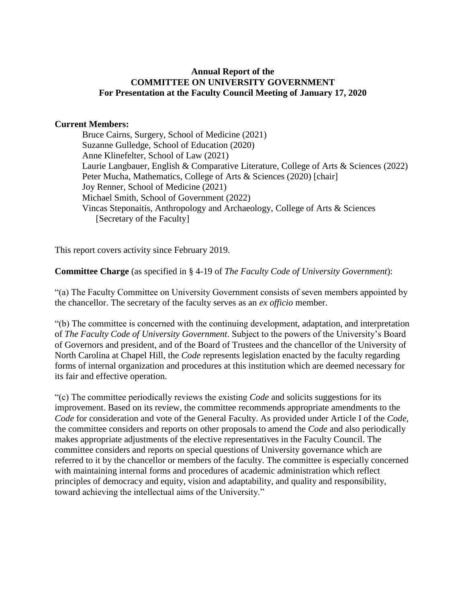# **Annual Report of the COMMITTEE ON UNIVERSITY GOVERNMENT For Presentation at the Faculty Council Meeting of January 17, 2020**

# **Current Members:**

Bruce Cairns, Surgery, School of Medicine (2021) Suzanne Gulledge, School of Education (2020) Anne Klinefelter, School of Law (2021) Laurie Langbauer, English & Comparative Literature, College of Arts & Sciences (2022) Peter Mucha, Mathematics, College of Arts & Sciences (2020) [chair] Joy Renner, School of Medicine (2021) Michael Smith, School of Government (2022) Vincas Steponaitis, Anthropology and Archaeology, College of Arts & Sciences [Secretary of the Faculty]

This report covers activity since February 2019.

**Committee Charge** (as specified in § 4-19 of *The Faculty Code of University Government*):

"(a) The Faculty Committee on University Government consists of seven members appointed by the chancellor. The secretary of the faculty serves as an *ex officio* member.

"(b) The committee is concerned with the continuing development, adaptation, and interpretation of *The Faculty Code of University Government*. Subject to the powers of the University's Board of Governors and president, and of the Board of Trustees and the chancellor of the University of North Carolina at Chapel Hill, the *Code* represents legislation enacted by the faculty regarding forms of internal organization and procedures at this institution which are deemed necessary for its fair and effective operation.

"(c) The committee periodically reviews the existing *Code* and solicits suggestions for its improvement. Based on its review, the committee recommends appropriate amendments to the *Code* for consideration and vote of the General Faculty. As provided under Article I of the *Code*, the committee considers and reports on other proposals to amend the *Code* and also periodically makes appropriate adjustments of the elective representatives in the Faculty Council. The committee considers and reports on special questions of University governance which are referred to it by the chancellor or members of the faculty. The committee is especially concerned with maintaining internal forms and procedures of academic administration which reflect principles of democracy and equity, vision and adaptability, and quality and responsibility, toward achieving the intellectual aims of the University."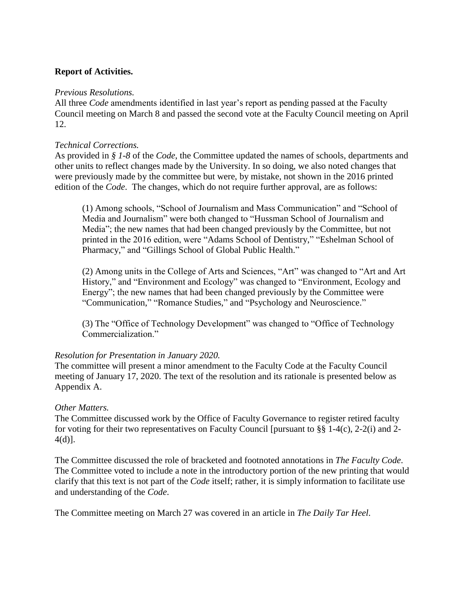# **Report of Activities.**

### *Previous Resolutions.*

All three *Code* amendments identified in last year's report as pending passed at the Faculty Council meeting on March 8 and passed the second vote at the Faculty Council meeting on April 12.

# *Technical Corrections.*

As provided in *§ 1-8* of the *Code*, the Committee updated the names of schools, departments and other units to reflect changes made by the University. In so doing, we also noted changes that were previously made by the committee but were, by mistake, not shown in the 2016 printed edition of the *Code*. The changes, which do not require further approval, are as follows:

(1) Among schools, "School of Journalism and Mass Communication" and "School of Media and Journalism" were both changed to "Hussman School of Journalism and Media"; the new names that had been changed previously by the Committee, but not printed in the 2016 edition, were "Adams School of Dentistry," "Eshelman School of Pharmacy," and "Gillings School of Global Public Health."

(2) Among units in the College of Arts and Sciences, "Art" was changed to "Art and Art History," and "Environment and Ecology" was changed to "Environment, Ecology and Energy"; the new names that had been changed previously by the Committee were "Communication," "Romance Studies," and "Psychology and Neuroscience."

(3) The "Office of Technology Development" was changed to "Office of Technology Commercialization."

### *Resolution for Presentation in January 2020.*

The committee will present a minor amendment to the Faculty Code at the Faculty Council meeting of January 17, 2020. The text of the resolution and its rationale is presented below as Appendix A.

### *Other Matters.*

The Committee discussed work by the Office of Faculty Governance to register retired faculty for voting for their two representatives on Faculty Council [pursuant to §§ 1-4(c), 2-2(i) and 2- 4(d)].

The Committee discussed the role of bracketed and footnoted annotations in *The Faculty Code*. The Committee voted to include a note in the introductory portion of the new printing that would clarify that this text is not part of the *Code* itself; rather, it is simply information to facilitate use and understanding of the *Code*.

The Committee meeting on March 27 was covered in an article in *The Daily Tar Heel*.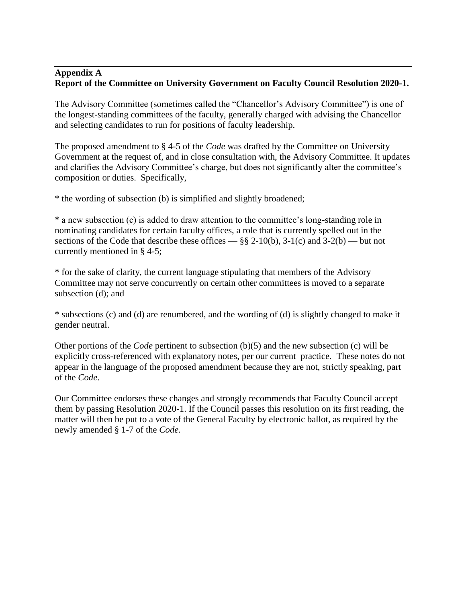### **Appendix A Report of the Committee on University Government on Faculty Council Resolution 2020-1.**

The Advisory Committee (sometimes called the "Chancellor's Advisory Committee") is one of the longest-standing committees of the faculty, generally charged with advising the Chancellor and selecting candidates to run for positions of faculty leadership.

The proposed amendment to § 4-5 of the *Code* was drafted by the Committee on University Government at the request of, and in close consultation with, the Advisory Committee. It updates and clarifies the Advisory Committee's charge, but does not significantly alter the committee's composition or duties. Specifically,

\* the wording of subsection (b) is simplified and slightly broadened;

\* a new subsection (c) is added to draw attention to the committee's long-standing role in nominating candidates for certain faculty offices, a role that is currently spelled out in the sections of the Code that describe these offices —  $\S$ § 2-10(b), 3-1(c) and 3-2(b) — but not currently mentioned in § 4-5;

\* for the sake of clarity, the current language stipulating that members of the Advisory Committee may not serve concurrently on certain other committees is moved to a separate subsection (d); and

\* subsections (c) and (d) are renumbered, and the wording of (d) is slightly changed to make it gender neutral.

Other portions of the *Code* pertinent to subsection (b)(5) and the new subsection (c) will be explicitly cross-referenced with explanatory notes, per our current practice. These notes do not appear in the language of the proposed amendment because they are not, strictly speaking, part of the *Code*.

Our Committee endorses these changes and strongly recommends that Faculty Council accept them by passing Resolution 2020-1. If the Council passes this resolution on its first reading, the matter will then be put to a vote of the General Faculty by electronic ballot, as required by the newly amended § 1-7 of the *Code.*